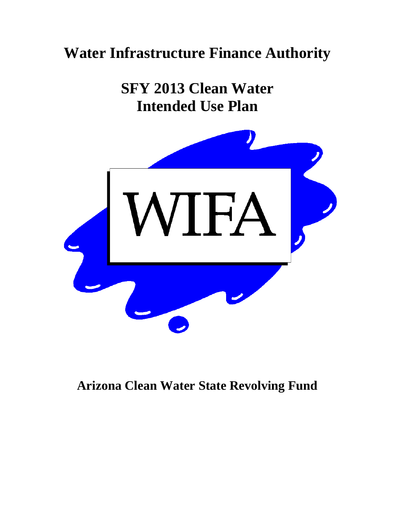# **Water Infrastructure Finance Authority**

**SFY 2013 Clean Water Intended Use Plan** 



**Arizona Clean Water State Revolving Fund**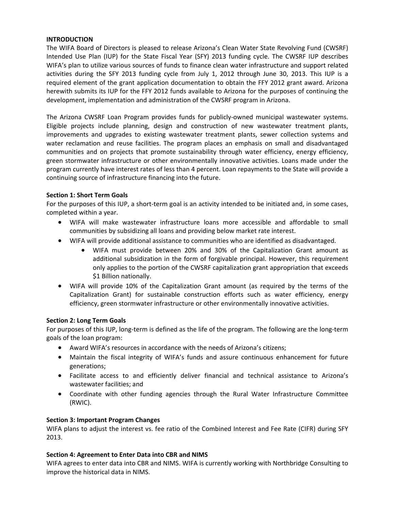## **INTRODUCTION**

The WIFA Board of Directors is pleased to release Arizona's Clean Water State Revolving Fund (CWSRF) Intended Use Plan (IUP) for the State Fiscal Year (SFY) 2013 funding cycle. The CWSRF IUP describes WIFA's plan to utilize various sources of funds to finance clean water infrastructure and support related activities during the SFY 2013 funding cycle from July 1, 2012 through June 30, 2013. This IUP is a required element of the grant application documentation to obtain the FFY 2012 grant award. Arizona herewith submits its IUP for the FFY 2012 funds available to Arizona for the purposes of continuing the development, implementation and administration of the CWSRF program in Arizona.

The Arizona CWSRF Loan Program provides funds for publicly‐owned municipal wastewater systems. Eligible projects include planning, design and construction of new wastewater treatment plants, improvements and upgrades to existing wastewater treatment plants, sewer collection systems and water reclamation and reuse facilities. The program places an emphasis on small and disadvantaged communities and on projects that promote sustainability through water efficiency, energy efficiency, green stormwater infrastructure or other environmentally innovative activities. Loans made under the program currently have interest rates of less than 4 percent. Loan repayments to the State will provide a continuing source of infrastructure financing into the future.

## **Section 1: Short Term Goals**

For the purposes of this IUP, a short-term goal is an activity intended to be initiated and, in some cases, completed within a year.

- WIFA will make wastewater infrastructure loans more accessible and affordable to small communities by subsidizing all loans and providing below market rate interest.
- WIFA will provide additional assistance to communities who are identified as disadvantaged.
	- WIFA must provide between 20% and 30% of the Capitalization Grant amount as additional subsidization in the form of forgivable principal. However, this requirement only applies to the portion of the CWSRF capitalization grant appropriation that exceeds \$1 Billion nationally.
- WIFA will provide 10% of the Capitalization Grant amount (as required by the terms of the Capitalization Grant) for sustainable construction efforts such as water efficiency, energy efficiency, green stormwater infrastructure or other environmentally innovative activities.

# **Section 2: Long Term Goals**

For purposes of this IUP, long-term is defined as the life of the program. The following are the long-term goals of the loan program:

- Award WIFA's resources in accordance with the needs of Arizona's citizens;
- Maintain the fiscal integrity of WIFA's funds and assure continuous enhancement for future generations;
- Facilitate access to and efficiently deliver financial and technical assistance to Arizona's wastewater facilities; and
- Coordinate with other funding agencies through the Rural Water Infrastructure Committee (RWIC).

# **Section 3: Important Program Changes**

WIFA plans to adjust the interest vs. fee ratio of the Combined Interest and Fee Rate (CIFR) during SFY 2013.

#### **Section 4: Agreement to Enter Data into CBR and NIMS**

WIFA agrees to enter data into CBR and NIMS. WIFA is currently working with Northbridge Consulting to improve the historical data in NIMS.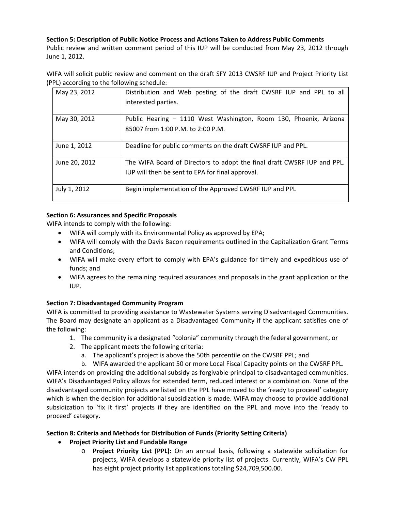# **Section 5: Description of Public Notice Process and Actions Taken to Address Public Comments**

Public review and written comment period of this IUP will be conducted from May 23, 2012 through June 1, 2012.

WIFA will solicit public review and comment on the draft SFY 2013 CWSRF IUP and Project Priority List (PPL) according to the following schedule:

| May 23, 2012  | Distribution and Web posting of the draft CWSRF IUP and PPL to all<br>interested parties.                                   |
|---------------|-----------------------------------------------------------------------------------------------------------------------------|
| May 30, 2012  | Public Hearing - 1110 West Washington, Room 130, Phoenix, Arizona<br>85007 from 1:00 P.M. to 2:00 P.M.                      |
| June 1, 2012  | Deadline for public comments on the draft CWSRF IUP and PPL.                                                                |
| June 20, 2012 | The WIFA Board of Directors to adopt the final draft CWSRF IUP and PPL.<br>IUP will then be sent to EPA for final approval. |
| July 1, 2012  | Begin implementation of the Approved CWSRF IUP and PPL                                                                      |

# **Section 6: Assurances and Specific Proposals**

WIFA intends to comply with the following:

- WIFA will comply with its Environmental Policy as approved by EPA;
- WIFA will comply with the Davis Bacon requirements outlined in the Capitalization Grant Terms and Conditions;
- WIFA will make every effort to comply with EPA's guidance for timely and expeditious use of funds; and
- WIFA agrees to the remaining required assurances and proposals in the grant application or the IUP.

# **Section 7: Disadvantaged Community Program**

WIFA is committed to providing assistance to Wastewater Systems serving Disadvantaged Communities. The Board may designate an applicant as a Disadvantaged Community if the applicant satisfies one of the following:

- 1. The community is a designated "colonia" community through the federal government, or
- 2. The applicant meets the following criteria:
	- a. The applicant's project is above the 50th percentile on the CWSRF PPL; and
	- b. WIFA awarded the applicant 50 or more Local Fiscal Capacity points on the CWSRF PPL.

WIFA intends on providing the additional subsidy as forgivable principal to disadvantaged communities. WIFA's Disadvantaged Policy allows for extended term, reduced interest or a combination. None of the disadvantaged community projects are listed on the PPL have moved to the 'ready to proceed' category which is when the decision for additional subsidization is made. WIFA may choose to provide additional subsidization to 'fix it first' projects if they are identified on the PPL and move into the 'ready to proceed' category.

# **Section 8: Criteria and Methods for Distribution of Funds (Priority Setting Criteria)**

- **Project Priority List and Fundable Range**
	- o **Project Priority List (PPL):** On an annual basis, following a statewide solicitation for projects, WIFA develops a statewide priority list of projects. Currently, WIFA's CW PPL has eight project priority list applications totaling \$24,709,500.00.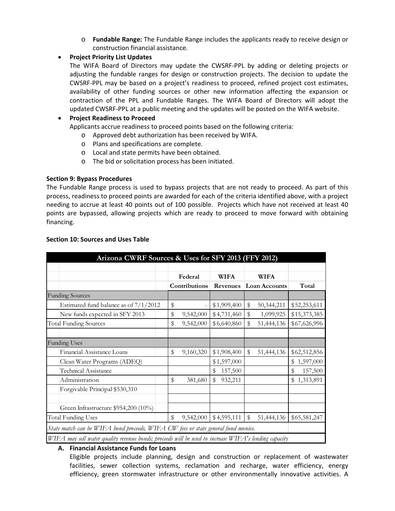o **Fundable Range:** The Fundable Range includes the applicants ready to receive design or construction financial assistance.

#### **Project Priority List Updates**

The WIFA Board of Directors may update the CWSRF‐PPL by adding or deleting projects or adjusting the fundable ranges for design or construction projects. The decision to update the CWSRF‐PPL may be based on a project's readiness to proceed, refined project cost estimates, availability of other funding sources or other new information affecting the expansion or contraction of the PPL and Fundable Ranges. The WIFA Board of Directors will adopt the updated CWSRF‐PPL at a public meeting and the updates will be posted on the WIFA website.

#### **Project Readiness to Proceed**

Applicants accrue readiness to proceed points based on the following criteria:

- o Approved debt authorization has been received by WIFA.
- o Plans and specifications are complete.
- o Local and state permits have been obtained.
- o The bid or solicitation process has been initiated.

#### **Section 9: Bypass Procedures**

The Fundable Range process is used to bypass projects that are not ready to proceed. As part of this process, readiness to proceed points are awarded for each of the criteria identified above, with a project needing to accrue at least 40 points out of 100 possible. Projects which have not received at least 40 points are bypassed, allowing projects which are ready to proceed to move forward with obtaining financing.

| Arizona CWRF Sources & Uses for SFY 2013 (FFY 2012)                                                  |                 |               |                      |               |
|------------------------------------------------------------------------------------------------------|-----------------|---------------|----------------------|---------------|
|                                                                                                      |                 |               |                      |               |
|                                                                                                      | Federal         | <b>WIFA</b>   | <b>WIFA</b>          |               |
|                                                                                                      | Contributions   | Revenues      | <b>Loan Accounts</b> | Total         |
| <b>Funding Sources</b>                                                                               |                 |               |                      |               |
| Estimated fund balance as of $7/1/2012$                                                              | \$              | \$1,909,400   | \$<br>50,344,211     | \$52,253,611  |
| New funds expected in SFY 2013                                                                       | \$<br>9,542,000 | \$4,731,460   | \$<br>1,099,925      | \$15,373,385  |
| <b>Total Funding Sources</b>                                                                         | \$<br>9,542,000 | \$6,640,860   | \$<br>51,444,136     | \$67,626,996  |
|                                                                                                      |                 |               |                      |               |
| <b>Funding Uses</b>                                                                                  |                 |               |                      |               |
| Financial Assistance Loans                                                                           | \$<br>9,160,320 | \$1,908,400   | $\,$<br>51,444,136   | \$62,512,856  |
| Clean Water Programs (ADEQ)                                                                          |                 | \$1,597,000   |                      | \$1,597,000   |
| <b>Technical Assistance</b>                                                                          |                 | 157,500<br>\$ |                      | 157,500<br>\$ |
| Administration                                                                                       | \$<br>381,680   | \$<br>932,211 |                      | \$1,313,891   |
| Forgivable Principal \$530,310                                                                       |                 |               |                      |               |
|                                                                                                      |                 |               |                      |               |
| Green Infrastructure \$954,200 (10%)                                                                 |                 |               |                      |               |
| <b>Total Funding Uses</b>                                                                            | \$<br>9,542,000 | \$4,595,111   | \$<br>51,444,136     | \$65,581,247  |
| State match can be WIFA bond proceeds, WIFA CW fees or state general fund monies.                    |                 |               |                      |               |
| WIFA may sell water quality revenue bonds; proceeds will be used to increase WIFA's lending capacity |                 |               |                      |               |

#### **Section 10: Sources and Uses Table**

#### **A. Financial Assistance Funds for Loans**

Eligible projects include planning, design and construction or replacement of wastewater facilities, sewer collection systems, reclamation and recharge, water efficiency, energy efficiency, green stormwater infrastructure or other environmentally innovative activities. A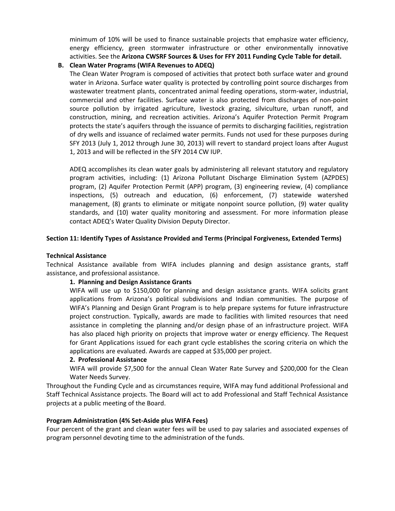minimum of 10% will be used to finance sustainable projects that emphasize water efficiency, energy efficiency, green stormwater infrastructure or other environmentally innovative activities. See the **Arizona CWSRF Sources & Uses for FFY 2011 Funding Cycle Table for detail.**

### **B. Clean Water Programs (WIFA Revenues to ADEQ)**

The Clean Water Program is composed of activities that protect both surface water and ground water in Arizona. Surface water quality is protected by controlling point source discharges from wastewater treatment plants, concentrated animal feeding operations, storm-water, industrial, commercial and other facilities. Surface water is also protected from discharges of non‐point source pollution by irrigated agriculture, livestock grazing, silviculture, urban runoff, and construction, mining, and recreation activities. Arizona's Aquifer Protection Permit Program protects the state's aquifers through the issuance of permits to discharging facilities, registration of dry wells and issuance of reclaimed water permits. Funds not used for these purposes during SFY 2013 (July 1, 2012 through June 30, 2013) will revert to standard project loans after August 1, 2013 and will be reflected in the SFY 2014 CW IUP.

ADEQ accomplishes its clean water goals by administering all relevant statutory and regulatory program activities, including: (1) Arizona Pollutant Discharge Elimination System (AZPDES) program, (2) Aquifer Protection Permit (APP) program, (3) engineering review, (4) compliance inspections, (5) outreach and education, (6) enforcement, (7) statewide watershed management, (8) grants to eliminate or mitigate nonpoint source pollution, (9) water quality standards, and (10) water quality monitoring and assessment. For more information please contact ADEQ's Water Quality Division Deputy Director.

#### **Section 11: Identify Types of Assistance Provided and Terms (Principal Forgiveness, Extended Terms)**

#### **Technical Assistance**

Technical Assistance available from WIFA includes planning and design assistance grants, staff assistance, and professional assistance.

#### **1. Planning and Design Assistance Grants**

WIFA will use up to \$150,000 for planning and design assistance grants. WIFA solicits grant applications from Arizona's political subdivisions and Indian communities. The purpose of WIFA's Planning and Design Grant Program is to help prepare systems for future infrastructure project construction. Typically, awards are made to facilities with limited resources that need assistance in completing the planning and/or design phase of an infrastructure project. WIFA has also placed high priority on projects that improve water or energy efficiency. The Request for Grant Applications issued for each grant cycle establishes the scoring criteria on which the applications are evaluated. Awards are capped at \$35,000 per project.

#### **2. Professional Assistance**

WIFA will provide \$7,500 for the annual Clean Water Rate Survey and \$200,000 for the Clean Water Needs Survey.

Throughout the Funding Cycle and as circumstances require, WIFA may fund additional Professional and Staff Technical Assistance projects. The Board will act to add Professional and Staff Technical Assistance projects at a public meeting of the Board.

#### **Program Administration (4% Set‐Aside plus WIFA Fees)**

Four percent of the grant and clean water fees will be used to pay salaries and associated expenses of program personnel devoting time to the administration of the funds.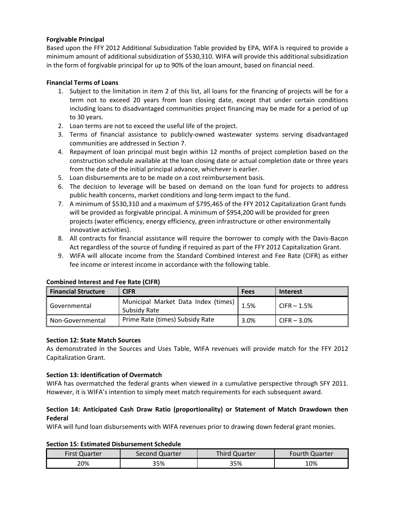## **Forgivable Principal**

Based upon the FFY 2012 Additional Subsidization Table provided by EPA, WIFA is required to provide a minimum amount of additional subsidization of \$530,310. WIFA will provide this additional subsidization in the form of forgivable principal for up to 90% of the loan amount, based on financial need.

## **Financial Terms of Loans**

- 1. Subject to the limitation in item 2 of this list, all loans for the financing of projects will be for a term not to exceed 20 years from loan closing date, except that under certain conditions including loans to disadvantaged communities project financing may be made for a period of up to 30 years.
- 2. Loan terms are not to exceed the useful life of the project.
- 3. Terms of financial assistance to publicly‐owned wastewater systems serving disadvantaged communities are addressed in Section 7.
- 4. Repayment of loan principal must begin within 12 months of project completion based on the construction schedule available at the loan closing date or actual completion date or three years from the date of the initial principal advance, whichever is earlier.
- 5. Loan disbursements are to be made on a cost reimbursement basis.
- 6. The decision to leverage will be based on demand on the loan fund for projects to address public health concerns, market conditions and long-term impact to the fund.
- 7. A minimum of \$530,310 and a maximum of \$795,465 of the FFY 2012 Capitalization Grant funds will be provided as forgivable principal. A minimum of \$954,200 will be provided for green projects (water efficiency, energy efficiency, green infrastructure or other environmentally innovative activities).
- 8. All contracts for financial assistance will require the borrower to comply with the Davis‐Bacon Act regardless of the source of funding if required as part of the FFY 2012 Capitalization Grant.
- 9. WIFA will allocate income from the Standard Combined Interest and Fee Rate (CIFR) as either fee income or interest income in accordance with the following table.

| <b>Financial Structure</b> | CIFR                                                | <b>Fees</b> | <b>Interest</b> |
|----------------------------|-----------------------------------------------------|-------------|-----------------|
| Governmental               | Municipal Market Data Index (times)<br>Subsidy Rate | 1.5%        | $C$ IFR – 1.5%  |
| Non-Governmental           | Prime Rate (times) Subsidy Rate                     | 3.0%        | CIFR $-3.0\%$   |

#### **Combined Interest and Fee Rate (CIFR)**

#### **Section 12: State Match Sources**

As demonstrated in the Sources and Uses Table, WIFA revenues will provide match for the FFY 2012 Capitalization Grant.

#### **Section 13: Identification of Overmatch**

WIFA has overmatched the federal grants when viewed in a cumulative perspective through SFY 2011. However, it is WIFA's intention to simply meet match requirements for each subsequent award.

# **Section 14: Anticipated Cash Draw Ratio (proportionality) or Statement of Match Drawdown then Federal**

WIFA will fund loan disbursements with WIFA revenues prior to drawing down federal grant monies.

#### **Section 15: Estimated Disbursement Schedule**

| <b>First Quarter</b> | Second Quarter | Third Quarter | <b>Fourth Quarter</b> |  |  |
|----------------------|----------------|---------------|-----------------------|--|--|
| 20%                  | 35%            | 35%           | 10%                   |  |  |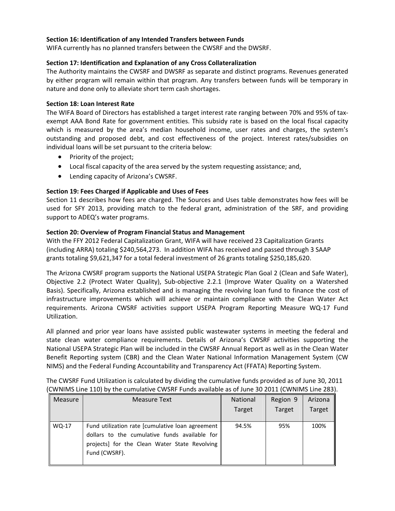## **Section 16: Identification of any Intended Transfers between Funds**

WIFA currently has no planned transfers between the CWSRF and the DWSRF.

### **Section 17: Identification and Explanation of any Cross Collateralization**

The Authority maintains the CWSRF and DWSRF as separate and distinct programs. Revenues generated by either program will remain within that program. Any transfers between funds will be temporary in nature and done only to alleviate short term cash shortages.

#### **Section 18: Loan Interest Rate**

The WIFA Board of Directors has established a target interest rate ranging between 70% and 95% of tax‐ exempt AAA Bond Rate for government entities. This subsidy rate is based on the local fiscal capacity which is measured by the area's median household income, user rates and charges, the system's outstanding and proposed debt, and cost effectiveness of the project. Interest rates/subsidies on individual loans will be set pursuant to the criteria below:

- Priority of the project;
- Local fiscal capacity of the area served by the system requesting assistance; and,
- Lending capacity of Arizona's CWSRF.

#### **Section 19: Fees Charged if Applicable and Uses of Fees**

Section 11 describes how fees are charged. The Sources and Uses table demonstrates how fees will be used for SFY 2013, providing match to the federal grant, administration of the SRF, and providing support to ADEQ's water programs.

#### **Section 20: Overview of Program Financial Status and Management**

With the FFY 2012 Federal Capitalization Grant, WIFA will have received 23 Capitalization Grants (including ARRA) totaling \$240,564,273. In addition WIFA has received and passed through 3 SAAP grants totaling \$9,621,347 for a total federal investment of 26 grants totaling \$250,185,620.

The Arizona CWSRF program supports the National USEPA Strategic Plan Goal 2 (Clean and Safe Water), Objective 2.2 (Protect Water Quality), Sub‐objective 2.2.1 (Improve Water Quality on a Watershed Basis). Specifically, Arizona established and is managing the revolving loan fund to finance the cost of infrastructure improvements which will achieve or maintain compliance with the Clean Water Act requirements. Arizona CWSRF activities support USEPA Program Reporting Measure WQ‐17 Fund Utilization.

All planned and prior year loans have assisted public wastewater systems in meeting the federal and state clean water compliance requirements. Details of Arizona's CWSRF activities supporting the National USEPA Strategic Plan will be included in the CWSRF Annual Report as well as in the Clean Water Benefit Reporting system (CBR) and the Clean Water National Information Management System (CW NIMS) and the Federal Funding Accountability and Transparency Act (FFATA) Reporting System.

| The CWSRF Fund Utilization is calculated by dividing the cumulative funds provided as of June 30, 2011 |
|--------------------------------------------------------------------------------------------------------|
| (CWNIMS Line 110) by the cumulative CWSRF Funds available as of June 30 2011 (CWNIMS Line 283).        |

| <b>Measure</b> | Measure Text                                                                                                                                                        | <b>National</b> | Region 9      | Arizona       |
|----------------|---------------------------------------------------------------------------------------------------------------------------------------------------------------------|-----------------|---------------|---------------|
|                |                                                                                                                                                                     | Target          | <b>Target</b> | <b>Target</b> |
| WQ-17          | Fund utilization rate [cumulative loan agreement<br>dollars to the cumulative funds available for<br>projects] for the Clean Water State Revolving<br>Fund (CWSRF). | 94.5%           | 95%           | 100%          |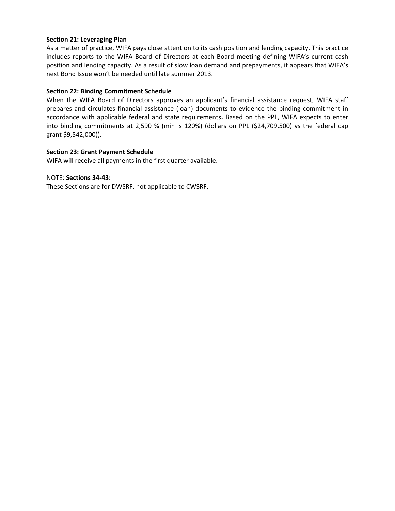#### **Section 21: Leveraging Plan**

As a matter of practice, WIFA pays close attention to its cash position and lending capacity. This practice includes reports to the WIFA Board of Directors at each Board meeting defining WIFA's current cash position and lending capacity. As a result of slow loan demand and prepayments, it appears that WIFA's next Bond Issue won't be needed until late summer 2013.

#### **Section 22: Binding Commitment Schedule**

When the WIFA Board of Directors approves an applicant's financial assistance request, WIFA staff prepares and circulates financial assistance (loan) documents to evidence the binding commitment in accordance with applicable federal and state requirements**.** Based on the PPL, WIFA expects to enter into binding commitments at 2,590 % (min is 120%) (dollars on PPL (\$24,709,500) vs the federal cap grant \$9,542,000)).

#### **Section 23: Grant Payment Schedule**

WIFA will receive all payments in the first quarter available.

#### NOTE: **Sections 34‐43:**

These Sections are for DWSRF, not applicable to CWSRF.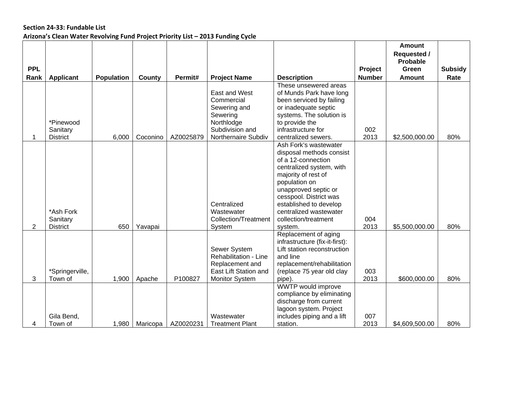## **Section 24‐33: Fundable List Arizona's Clean Water Revolving Fund Project Priority List – 2013 Funding Cycle**

|            |                  |                   |          |           |                             |                                                |               | <b>Amount</b><br><b>Requested /</b> |                |
|------------|------------------|-------------------|----------|-----------|-----------------------------|------------------------------------------------|---------------|-------------------------------------|----------------|
|            |                  |                   |          |           |                             |                                                |               | Probable                            |                |
| <b>PPL</b> |                  |                   |          |           |                             |                                                | Project       | Green                               | <b>Subsidy</b> |
| Rank       | <b>Applicant</b> | <b>Population</b> | County   | Permit#   | <b>Project Name</b>         | <b>Description</b>                             | <b>Number</b> | <b>Amount</b>                       | Rate           |
|            |                  |                   |          |           |                             | These unsewered areas                          |               |                                     |                |
|            |                  |                   |          |           | East and West               | of Munds Park have long                        |               |                                     |                |
|            |                  |                   |          |           | Commercial                  | been serviced by failing                       |               |                                     |                |
|            |                  |                   |          |           | Sewering and                | or inadequate septic                           |               |                                     |                |
|            |                  |                   |          |           | Sewering                    | systems. The solution is                       |               |                                     |                |
|            | *Pinewood        |                   |          |           | Northlodge                  | to provide the                                 |               |                                     |                |
|            | Sanitary         |                   |          |           | Subdivision and             | infrastructure for                             | 002           |                                     |                |
| 1          | <b>District</b>  | 6,000             | Coconino | AZ0025879 | Northernaire Subdiv         | centralized sewers.                            | 2013          | \$2,500,000.00                      | 80%            |
|            |                  |                   |          |           |                             | Ash Fork's wastewater                          |               |                                     |                |
|            |                  |                   |          |           |                             | disposal methods consist<br>of a 12-connection |               |                                     |                |
|            |                  |                   |          |           |                             | centralized system, with                       |               |                                     |                |
|            |                  |                   |          |           |                             | majority of rest of                            |               |                                     |                |
|            |                  |                   |          |           |                             | population on                                  |               |                                     |                |
|            |                  |                   |          |           |                             | unapproved septic or                           |               |                                     |                |
|            |                  |                   |          |           |                             | cesspool. District was                         |               |                                     |                |
|            |                  |                   |          |           | Centralized                 | established to develop                         |               |                                     |                |
|            | *Ash Fork        |                   |          |           | Wastewater                  | centralized wastewater                         |               |                                     |                |
|            | Sanitary         |                   |          |           | <b>Collection/Treatment</b> | collection/treatment                           | 004           |                                     |                |
| 2          | <b>District</b>  | 650               | Yavapai  |           | System                      | system.                                        | 2013          | \$5,500,000.00                      | 80%            |
|            |                  |                   |          |           |                             | Replacement of aging                           |               |                                     |                |
|            |                  |                   |          |           |                             | infrastructure (fix-it-first):                 |               |                                     |                |
|            |                  |                   |          |           | Sewer System                | Lift station reconstruction                    |               |                                     |                |
|            |                  |                   |          |           | Rehabilitation - Line       | and line                                       |               |                                     |                |
|            |                  |                   |          |           | Replacement and             | replacement/rehabilitation                     |               |                                     |                |
|            | *Springerville,  |                   |          |           | East Lift Station and       | (replace 75 year old clay                      | 003           |                                     |                |
| 3          | Town of          | 1,900             | Apache   | P100827   | <b>Monitor System</b>       | pipe).                                         | 2013          | \$600,000.00                        | 80%            |
|            |                  |                   |          |           |                             | <b>WWTP would improve</b>                      |               |                                     |                |
|            |                  |                   |          |           |                             | compliance by eliminating                      |               |                                     |                |
|            |                  |                   |          |           |                             | discharge from current                         |               |                                     |                |
|            |                  |                   |          |           |                             | lagoon system. Project                         |               |                                     |                |
|            | Gila Bend,       |                   |          |           | Wastewater                  | includes piping and a lift                     | 007           |                                     |                |
| 4          | Town of          | 1,980             | Maricopa | AZ0020231 | <b>Treatment Plant</b>      | station.                                       | 2013          | \$4,609,500.00                      | 80%            |